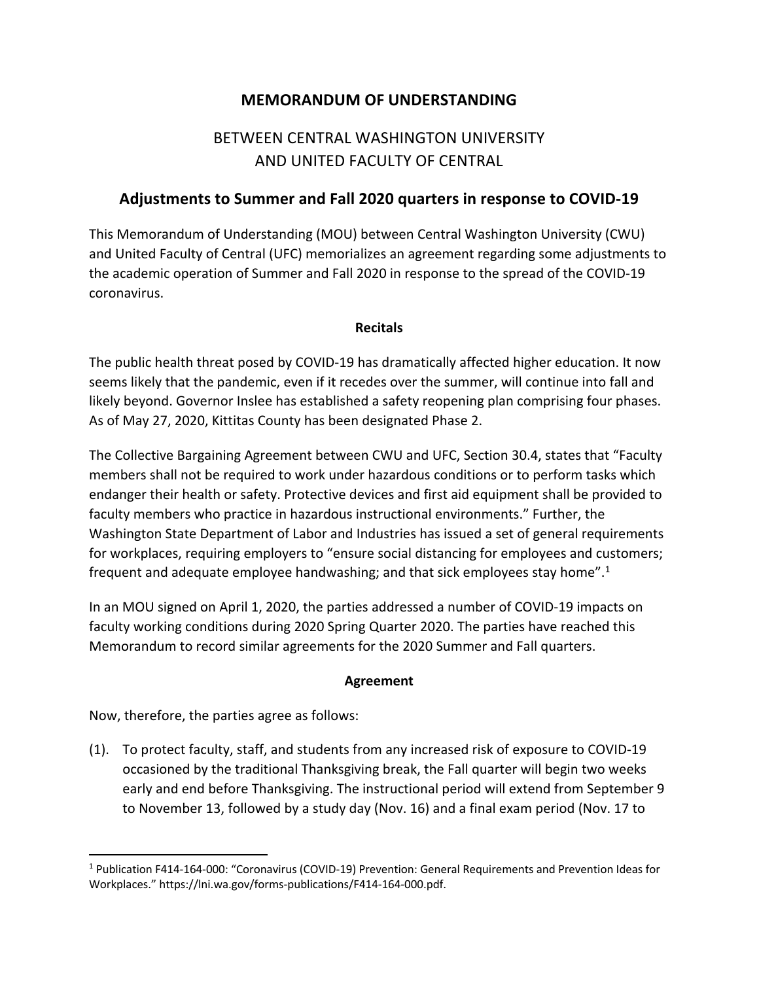## **MEMORANDUM OF UNDERSTANDING**

# BETWEEN CENTRAL WASHINGTON UNIVERSITY AND UNITED FACULTY OF CENTRAL

### **Adjustments to Summer and Fall 2020 quarters in response to COVID-19**

This Memorandum of Understanding (MOU) between Central Washington University (CWU) and United Faculty of Central (UFC) memorializes an agreement regarding some adjustments to the academic operation of Summer and Fall 2020 in response to the spread of the COVID-19 coronavirus.

### **Recitals**

The public health threat posed by COVID-19 has dramatically affected higher education. It now seems likely that the pandemic, even if it recedes over the summer, will continue into fall and likely beyond. Governor Inslee has established a safety reopening plan comprising four phases. As of May 27, 2020, Kittitas County has been designated Phase 2.

The Collective Bargaining Agreement between CWU and UFC, Section 30.4, states that "Faculty members shall not be required to work under hazardous conditions or to perform tasks which endanger their health or safety. Protective devices and first aid equipment shall be provided to faculty members who practice in hazardous instructional environments." Further, the Washington State Department of Labor and Industries has issued a set of general requirements for workplaces, requiring employers to "ensure social distancing for employees and customers; frequent and adequate employee handwashing; and that sick employees stay home".<sup>1</sup>

In an MOU signed on April 1, 2020, the parties addressed a number of COVID-19 impacts on faculty working conditions during 2020 Spring Quarter 2020. The parties have reached this Memorandum to record similar agreements for the 2020 Summer and Fall quarters.

#### **Agreement**

Now, therefore, the parties agree as follows:

(1). To protect faculty, staff, and students from any increased risk of exposure to COVID-19 occasioned by the traditional Thanksgiving break, the Fall quarter will begin two weeks early and end before Thanksgiving. The instructional period will extend from September 9 to November 13, followed by a study day (Nov. 16) and a final exam period (Nov. 17 to

<sup>1</sup> Publication F414-164-000: "Coronavirus (COVID-19) Prevention: General Requirements and Prevention Ideas for Workplaces." https://lni.wa.gov/forms-publications/F414-164-000.pdf.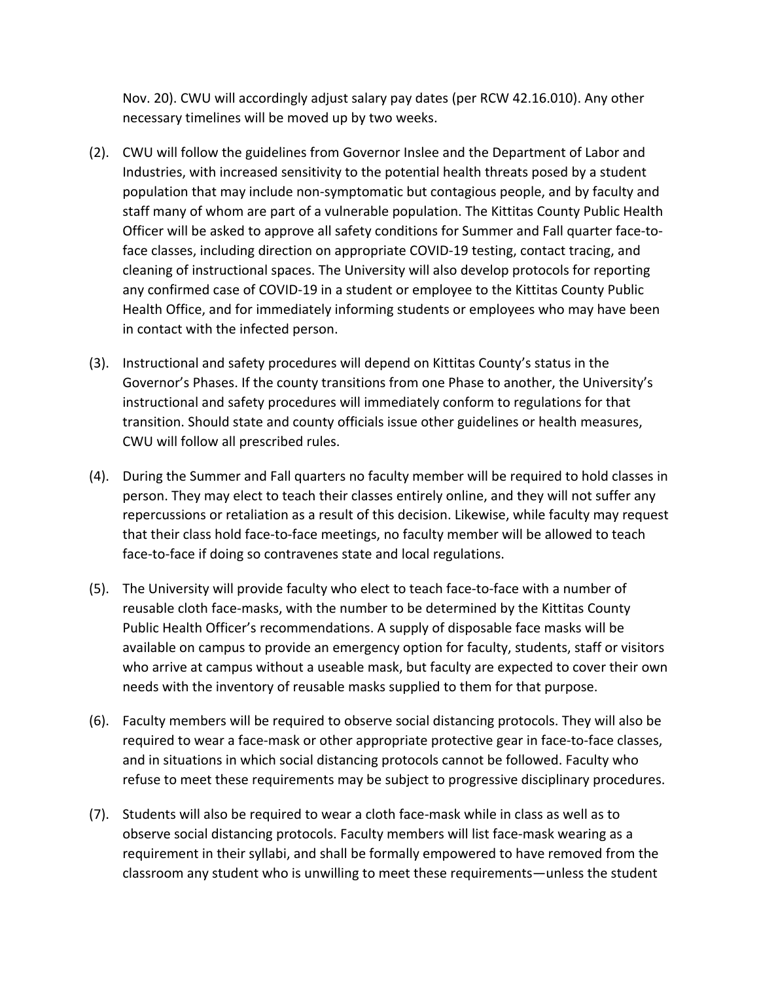Nov. 20). CWU will accordingly adjust salary pay dates (per RCW 42.16.010). Any other necessary timelines will be moved up by two weeks.

- (2). CWU will follow the guidelines from Governor Inslee and the Department of Labor and Industries, with increased sensitivity to the potential health threats posed by a student population that may include non-symptomatic but contagious people, and by faculty and staff many of whom are part of a vulnerable population. The Kittitas County Public Health Officer will be asked to approve all safety conditions for Summer and Fall quarter face-toface classes, including direction on appropriate COVID-19 testing, contact tracing, and cleaning of instructional spaces. The University will also develop protocols for reporting any confirmed case of COVID-19 in a student or employee to the Kittitas County Public Health Office, and for immediately informing students or employees who may have been in contact with the infected person.
- (3). Instructional and safety procedures will depend on Kittitas County's status in the Governor's Phases. If the county transitions from one Phase to another, the University's instructional and safety procedures will immediately conform to regulations for that transition. Should state and county officials issue other guidelines or health measures, CWU will follow all prescribed rules.
- (4). During the Summer and Fall quarters no faculty member will be required to hold classes in person. They may elect to teach their classes entirely online, and they will not suffer any repercussions or retaliation as a result of this decision. Likewise, while faculty may request that their class hold face-to-face meetings, no faculty member will be allowed to teach face-to-face if doing so contravenes state and local regulations.
- (5). The University will provide faculty who elect to teach face-to-face with a number of reusable cloth face-masks, with the number to be determined by the Kittitas County Public Health Officer's recommendations. A supply of disposable face masks will be available on campus to provide an emergency option for faculty, students, staff or visitors who arrive at campus without a useable mask, but faculty are expected to cover their own needs with the inventory of reusable masks supplied to them for that purpose.
- (6). Faculty members will be required to observe social distancing protocols. They will also be required to wear a face-mask or other appropriate protective gear in face-to-face classes, and in situations in which social distancing protocols cannot be followed. Faculty who refuse to meet these requirements may be subject to progressive disciplinary procedures.
- (7). Students will also be required to wear a cloth face-mask while in class as well as to observe social distancing protocols. Faculty members will list face-mask wearing as a requirement in their syllabi, and shall be formally empowered to have removed from the classroom any student who is unwilling to meet these requirements—unless the student